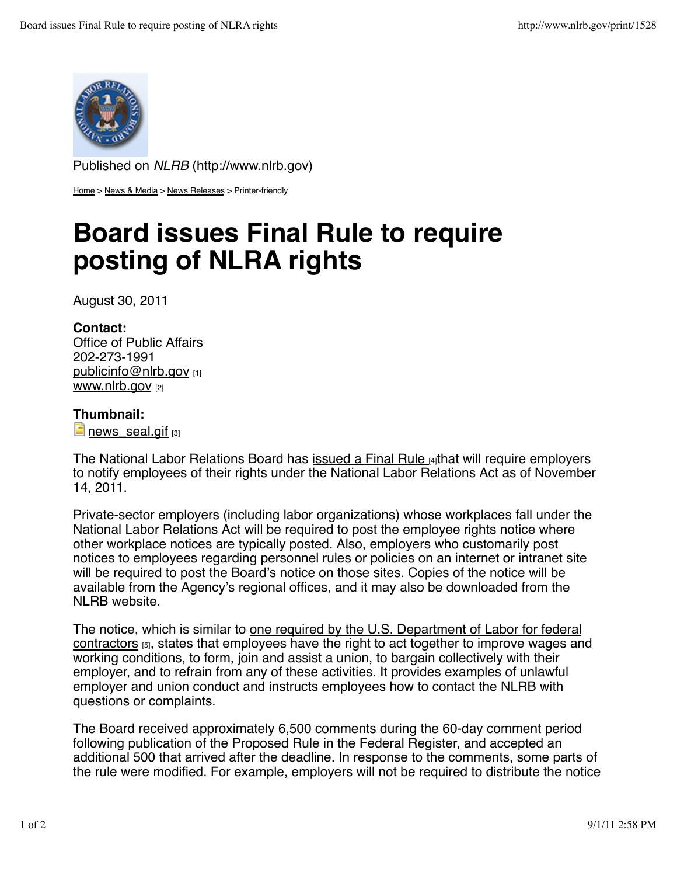

Published on *NLRB* (http://www.nlrb.gov)

Home > News & Media > News Releases > Printer-friendly

# **Board issues Final Rule to require posting of NLRA rights**

August 30, 2011

### **Contact:**

Office of Public Affairs 202-273-1991 publicinfo@nlrb.gov www.nlrb.gov [2]

## **Thumbnail:**

 $\Box$  news seal.gif  $[3]$ 

The National Labor Relations Board has issued a Final Rule  $\mu$  that will require employers to notify employees of their rights under the National Labor Relations Act as of November 14, 2011.

Private-sector employers (including labor organizations) whose workplaces fall under the National Labor Relations Act will be required to post the employee rights notice where other workplace notices are typically posted. Also, employers who customarily post notices to employees regarding personnel rules or policies on an internet or intranet site will be required to post the Board's notice on those sites. Copies of the notice will be available from the Agency's regional offices, and it may also be downloaded from the NLRB website.

The notice, which is similar to one required by the U.S. Department of Labor for federal contractors [5], states that employees have the right to act together to improve wages and working conditions, to form, join and assist a union, to bargain collectively with their employer, and to refrain from any of these activities. It provides examples of unlawful employer and union conduct and instructs employees how to contact the NLRB with questions or complaints.

The Board received approximately 6,500 comments during the 60-day comment period following publication of the Proposed Rule in the Federal Register, and accepted an additional 500 that arrived after the deadline. In response to the comments, some parts of the rule were modified. For example, employers will not be required to distribute the notice